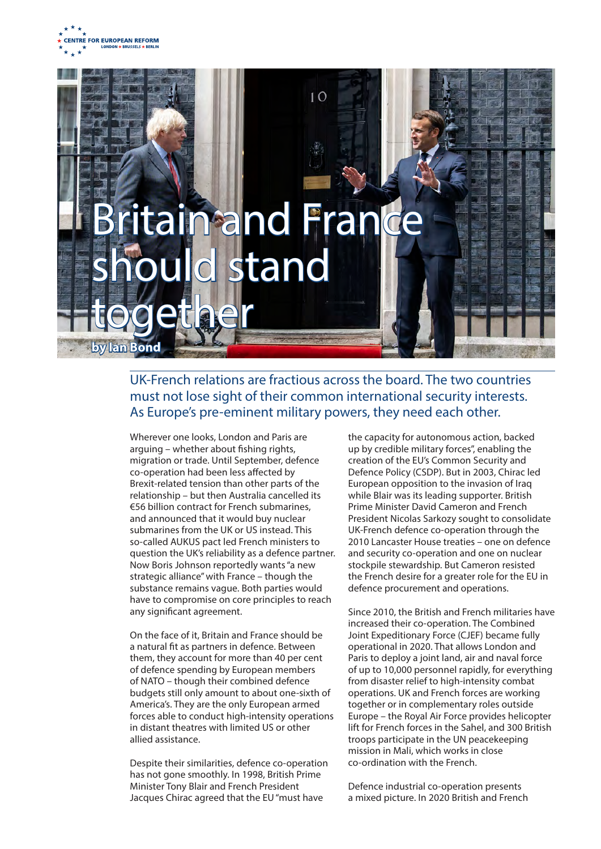



## UK-French relations are fractious across the board. The two countries must not lose sight of their common international security interests. As Europe's pre-eminent military powers, they need each other.

Wherever one looks, London and Paris are arguing – whether about fishing rights, migration or trade. Until September, defence co-operation had been less affected by Brexit-related tension than other parts of the relationship – but then Australia cancelled its €56 billion contract for French submarines, and announced that it would buy nuclear submarines from the UK or US instead. This so-called AUKUS pact led French ministers to question the UK's reliability as a defence partner. Now Boris Johnson reportedly wants "a new strategic alliance" with France – though the substance remains vague. Both parties would have to compromise on core principles to reach any significant agreement.

On the face of it, Britain and France should be a natural fit as partners in defence. Between them, they account for more than 40 per cent of defence spending by European members of NATO – though their combined defence budgets still only amount to about one-sixth of America's. They are the only European armed forces able to conduct high-intensity operations in distant theatres with limited US or other allied assistance.

Despite their similarities, defence co-operation has not gone smoothly. In 1998, British Prime Minister Tony Blair and French President Jacques Chirac agreed that the EU "must have

the capacity for autonomous action, backed up by credible military forces", enabling the creation of the EU's Common Security and Defence Policy (CSDP). But in 2003, Chirac led European opposition to the invasion of Iraq while Blair was its leading supporter. British Prime Minister David Cameron and French President Nicolas Sarkozy sought to consolidate UK-French defence co-operation through the 2010 Lancaster House treaties – one on defence and security co-operation and one on nuclear stockpile stewardship. But Cameron resisted the French desire for a greater role for the EU in defence procurement and operations.

Since 2010, the British and French militaries have increased their co-operation. The Combined Joint Expeditionary Force (CJEF) became fully operational in 2020. That allows London and Paris to deploy a joint land, air and naval force of up to 10,000 personnel rapidly, for everything from disaster relief to high-intensity combat operations. UK and French forces are working together or in complementary roles outside Europe – the Royal Air Force provides helicopter lift for French forces in the Sahel, and 300 British troops participate in the UN peacekeeping mission in Mali, which works in close co-ordination with the French.

Defence industrial co-operation presents a mixed picture. In 2020 British and French